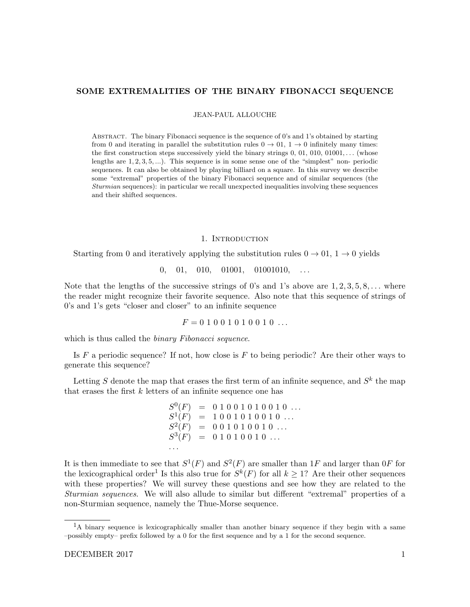# SOME EXTREMALITIES OF THE BINARY FIBONACCI SEQUENCE

JEAN-PAUL ALLOUCHE

Abstract. The binary Fibonacci sequence is the sequence of 0's and 1's obtained by starting from 0 and iterating in parallel the substitution rules  $0 \to 01$ ,  $1 \to 0$  infinitely many times: the first construction steps successively yield the binary strings  $0, 01, 010, 01001, \ldots$  (whose lengths are  $1, 2, 3, 5, \dots$ ). This sequence is in some sense one of the "simplest" non- periodic sequences. It can also be obtained by playing billiard on a square. In this survey we describe some "extremal" properties of the binary Fibonacci sequence and of similar sequences (the Sturmian sequences): in particular we recall unexpected inequalities involving these sequences and their shifted sequences.

#### 1. INTRODUCTION

Starting from 0 and iteratively applying the substitution rules  $0 \rightarrow 01$ ,  $1 \rightarrow 0$  yields

 $0, 01, 010, 01001, 01001010, \ldots$ 

Note that the lengths of the successive strings of 0's and 1's above are  $1, 2, 3, 5, 8, \ldots$  where the reader might recognize their favorite sequence. Also note that this sequence of strings of 0's and 1's gets "closer and closer" to an infinite sequence

$$
F = 0 1 0 0 1 0 1 0 0 1 0 \ldots
$$

which is thus called the *binary Fibonacci sequence*.

Is  $F$  a periodic sequence? If not, how close is  $F$  to being periodic? Are their other ways to generate this sequence?

Letting S denote the map that erases the first term of an infinite sequence, and  $S^k$  the map that erases the first  $k$  letters of an infinite sequence one has

$$
S^{0}(F) = 0 1 0 0 1 0 1 0 0 1 0 ...
$$
  
\n
$$
S^{1}(F) = 1 0 0 1 0 1 0 0 1 0 ...
$$
  
\n
$$
S^{2}(F) = 0 0 1 0 1 0 0 1 0 ...
$$
  
\n
$$
S^{3}(F) = 0 1 0 1 0 0 1 0 ...
$$
  
\n...

It is then immediate to see that  $S^1(F)$  and  $S^2(F)$  are smaller than 1F and larger than 0F for the lexicographical order<sup>1</sup> Is this also true for  $S^k(F)$  for all  $k \geq 1$ ? Are their other sequences with these properties? We will survey these questions and see how they are related to the Sturmian sequences. We will also allude to similar but different "extremal" properties of a non-Sturmian sequence, namely the Thue-Morse sequence.

 $<sup>1</sup>A$  binary sequence is lexicographically smaller than another binary sequence if they begin with a same</sup> –possibly empty– prefix followed by a 0 for the first sequence and by a 1 for the second sequence.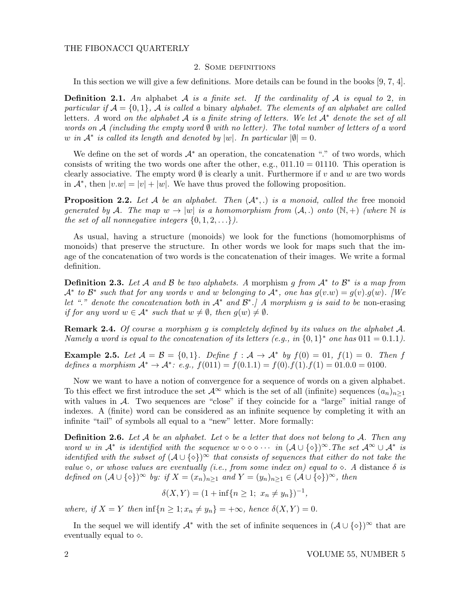# 2. Some definitions

In this section we will give a few definitions. More details can be found in the books [9, 7, 4].

**Definition 2.1.** An alphabet A is a finite set. If the cardinality of A is equal to 2, in particular if  $\mathcal{A} = \{0, 1\}$ ,  $\mathcal{A}$  is called a binary alphabet. The elements of an alphabet are called letters. A word on the alphabet A is a finite string of letters. We let  $A^*$  denote the set of all words on A (including the empty word  $\emptyset$  with no letter). The total number of letters of a word w in  $\mathcal{A}^*$  is called its length and denoted by  $|w|$ . In particular  $|\emptyset| = 0$ .

We define on the set of words  $A^*$  an operation, the concatenation "." of two words, which consists of writing the two words one after the other, e.g.,  $011.10 = 01110$ . This operation is clearly associative. The empty word  $\emptyset$  is clearly a unit. Furthermore if v and w are two words in  $\mathcal{A}^*$ , then  $|v.w| = |v| + |w|$ . We have thus proved the following proposition.

**Proposition 2.2.** Let A be an alphabet. Then  $(A^*,.)$  is a monoid, called the free monoid generated by A. The map  $w \to |w|$  is a homomorphism from  $(A,.)$  onto  $(\mathbb{N},+)$  (where  $\mathbb N$  is the set of all nonnegative integers  $\{0, 1, 2, \ldots\}$ .

As usual, having a structure (monoids) we look for the functions (homomorphisms of monoids) that preserve the structure. In other words we look for maps such that the image of the concatenation of two words is the concatenation of their images. We write a formal definition.

**Definition 2.3.** Let A and B be two alphabets. A morphism g from  $A^*$  to  $B^*$  is a map from  $\mathcal{A}^*$  to  $\mathcal{B}^*$  such that for any words v and w belonging to  $\mathcal{A}^*$ , one has  $g(v.w) = g(v).g(w)$ . [We let "." denote the concatenation both in  $A^*$  and  $B^*$ . A morphism g is said to be non-erasing if for any word  $w \in A^*$  such that  $w \neq \emptyset$ , then  $g(w) \neq \emptyset$ .

**Remark 2.4.** Of course a morphism g is completely defined by its values on the alphabet  $A$ . Namely a word is equal to the concatenation of its letters (e.g., in  $\{0,1\}^*$  one has  $011 = 0.1.1$ ).

**Example 2.5.** Let  $A = B = \{0, 1\}$ . Define  $f : A \to A^*$  by  $f(0) = 01$ ,  $f(1) = 0$ . Then f defines a morphism  $\mathcal{A}^* \to \mathcal{A}^*$ : e.g.,  $f(011) = f(0.1.1) = f(0).f(1).f(1) = 01.0.0 = 0100$ .

Now we want to have a notion of convergence for a sequence of words on a given alphabet. To this effect we first introduce the set  $\mathcal{A}^{\infty}$  which is the set of all (infinite) sequences  $(a_n)_{n\geq 1}$ with values in  $A$ . Two sequences are "close" if they coincide for a "large" initial range of indexes. A (finite) word can be considered as an infinite sequence by completing it with an infinite "tail" of symbols all equal to a "new" letter. More formally:

**Definition 2.6.** Let A be an alphabet. Let  $\diamond$  be a letter that does not belong to A. Then any word w in  $\mathcal{A}^*$  is identified with the sequence  $w \diamond \diamond \diamond \cdots$  in  $(\mathcal{A} \cup \{ \diamond \})^{\infty}$ . The set  $\mathcal{A}^{\infty} \cup \mathcal{A}^*$  is identified with the subset of  $(A \cup \{ \diamond \})^{\infty}$  that consists of sequences that either do not take the value  $\circ$ , or whose values are eventually (i.e., from some index on) equal to  $\circ$ . A distance  $\delta$  is defined on  $(A \cup \{\diamond\})^{\infty}$  by: if  $X = (x_n)_{n>1}$  and  $Y = (y_n)_{n>1} \in (\mathcal{A} \cup \{\diamond\})^{\infty}$ , then

$$
\delta(X, Y) = (1 + \inf\{n \ge 1; \ x_n \ne y_n\})^{-1},
$$

where, if  $X = Y$  then  $\inf\{n \geq 1; x_n \neq y_n\} = +\infty$ , hence  $\delta(X, Y) = 0$ .

In the sequel we will identify  $\mathcal{A}^*$  with the set of infinite sequences in  $(\mathcal{A} \cup \{\diamond\})^{\infty}$  that are eventually equal to  $\diamond$ .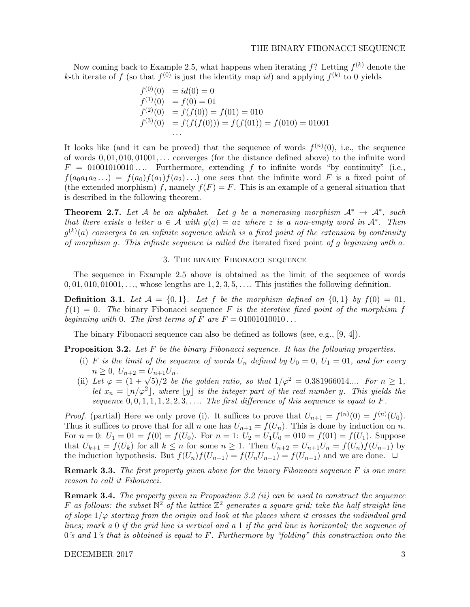Now coming back to Example 2.5, what happens when iterating  $f$ ? Letting  $f^{(k)}$  denote the k-th iterate of f (so that  $f^{(0)}$  is just the identity map id) and applying  $f^{(k)}$  to 0 yields

$$
f^{(0)}(0) = id(0) = 0
$$
  
\n
$$
f^{(1)}(0) = f(0) = 01
$$
  
\n
$$
f^{(2)}(0) = f(f(0)) = f(01) = 010
$$
  
\n
$$
f^{(3)}(0) = f(f(f(0))) = f(f(01)) = f(010) = 01001
$$
  
\n...

It looks like (and it can be proved) that the sequence of words  $f^{(n)}(0)$ , i.e., the sequence of words  $0, 01, 010, 01001, \ldots$  converges (for the distance defined above) to the infinite word  $F = 01001010010...$  Furthermore, extending f to infinite words "by continuity" (i.e.,  $f(a_0a_1a_2...)=f(a_0)f(a_1)f(a_2)...$  one sees that the infinite word F is a fixed point of (the extended morphism) f, namely  $f(F) = F$ . This is an example of a general situation that is described in the following theorem.

**Theorem 2.7.** Let A be an alphabet. Let g be a nonerasing morphism  $A^* \rightarrow A^*$ , such that there exists a letter  $a \in \mathcal{A}$  with  $g(a) = az$  where z is a non-empty word in  $\mathcal{A}^*$ . Then  $g^{(k)}(a)$  converges to an infinite sequence which is a fixed point of the extension by continuity of morphism g. This infinite sequence is called the iterated fixed point of g beginning with a.

#### 3. The binary Fibonacci sequence

The sequence in Example 2.5 above is obtained as the limit of the sequence of words  $0, 01, 010, 01001, \ldots$ , whose lengths are  $1, 2, 3, 5, \ldots$ . This justifies the following definition.

**Definition 3.1.** Let  $\mathcal{A} = \{0, 1\}$ . Let f be the morphism defined on  $\{0, 1\}$  by  $f(0) = 01$ .  $f(1) = 0$ . The binary Fibonacci sequence F is the iterative fixed point of the morphism f beginning with 0. The first terms of F are  $F = 01001010010...$ 

The binary Fibonacci sequence can also be defined as follows (see, e.g., [9, 4]).

**Proposition 3.2.** Let  $F$  be the binary Fibonacci sequence. It has the following properties.

- (i) F is the limit of the sequence of words  $U_n$  defined by  $U_0 = 0$ ,  $U_1 = 01$ , and for every  $n \geq 0$ ,  $U_{n+2} = U_{n+1}U_n$ .
- (ii) Let  $\varphi = (1 + \sqrt{5})/2$  be the golden ratio, so that  $1/\varphi^2 = 0.381966014...$  For  $n \ge 1$ , let  $x_n = \lfloor n/\varphi^2 \rfloor$ , where  $\lfloor y \rfloor$  is the integer part of the real number y. This yields the sequence  $0, 0, 1, 1, 1, 2, 2, 3, \ldots$  The first difference of this sequence is equal to F.

*Proof.* (partial) Here we only prove (i). It suffices to prove that  $U_{n+1} = f^{(n)}(0) = f^{(n)}(U_0)$ . Thus it suffices to prove that for all n one has  $U_{n+1} = f(U_n)$ . This is done by induction on n. For  $n = 0$ :  $U_1 = 01 = f(0) = f(U_0)$ . For  $n = 1$ :  $U_2 = U_1U_0 = 010 = f(01) = f(U_1)$ . Suppose that  $U_{k+1} = f(U_k)$  for all  $k \leq n$  for some  $n \geq 1$ . Then  $U_{n+2} = U_{n+1}U_n = f(U_n)f(U_{n-1})$  by the induction hypothesis. But  $f(U_n)f(U_{n-1}) = f(U_nU_{n-1}) = f(U_{n+1})$  and we are done.  $\Box$ 

**Remark 3.3.** The first property given above for the binary Fibonacci sequence F is one more reason to call it Fibonacci.

Remark 3.4. The property given in Proposition 3.2 (ii) can be used to construct the sequence F as follows: the subset  $\mathbb{N}^2$  of the lattice  $\mathbb{Z}^2$  generates a square grid; take the half straight line of slope  $1/\varphi$  starting from the origin and look at the places where it crosses the individual grid lines; mark a 0 if the grid line is vertical and a 1 if the grid line is horizontal; the sequence of  $0$ 's and  $1$ 's that is obtained is equal to F. Furthermore by "folding" this construction onto the

DECEMBER 2017 3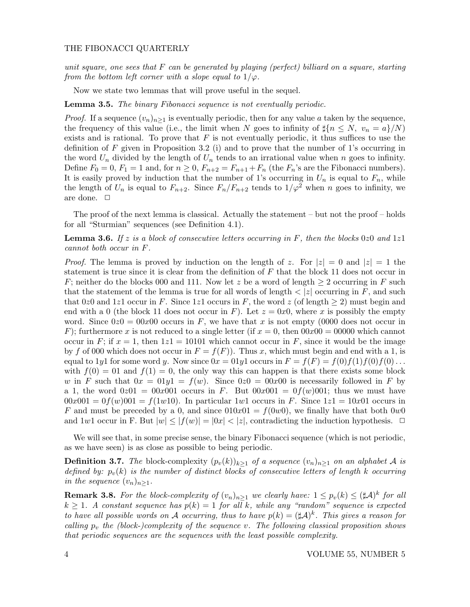unit square, one sees that  $F$  can be generated by playing (perfect) billiard on a square, starting from the bottom left corner with a slope equal to  $1/\varphi$ .

Now we state two lemmas that will prove useful in the sequel.

**Lemma 3.5.** The binary Fibonacci sequence is not eventually periodic.

*Proof.* If a sequence  $(v_n)_{n\geq 1}$  is eventually periodic, then for any value a taken by the sequence, the frequency of this value (i.e., the limit when N goes to infinity of  $\sharp \{n \leq N, v_n = a\}/N$ ) exists and is rational. To prove that  $F$  is not eventually periodic, it thus suffices to use the definition of F given in Proposition 3.2 (i) and to prove that the number of 1's occurring in the word  $U_n$  divided by the length of  $U_n$  tends to an irrational value when n goes to infinity. Define  $F_0 = 0$ ,  $F_1 = 1$  and, for  $n \geq 0$ ,  $F_{n+2} = F_{n+1} + F_n$  (the  $F_n$ 's are the Fibonacci numbers). It is easily proved by induction that the number of 1's occurring in  $U_n$  is equal to  $F_n$ , while the length of  $U_n$  is equal to  $F_{n+2}$ . Since  $F_n/F_{n+2}$  tends to  $1/\varphi^2$  when n goes to infinity, we are done.  $\Box$ 

The proof of the next lemma is classical. Actually the statement – but not the proof – holds for all "Sturmian" sequences (see Definition 4.1).

**Lemma 3.6.** If z is a block of consecutive letters occurring in F, then the blocks 0z0 and 1z1 cannot both occur in F.

*Proof.* The lemma is proved by induction on the length of z. For  $|z| = 0$  and  $|z| = 1$  the statement is true since it is clear from the definition of  $F$  that the block 11 does not occur in F; neither do the blocks 000 and 111. Now let z be a word of length  $\geq 2$  occurring in F such that the statement of the lemma is true for all words of length  $\langle z|$  occurring in F, and such that 0z0 and 1z1 occur in F. Since 1z1 occurs in F, the word z (of length  $\geq 2$ ) must begin and end with a 0 (the block 11 does not occur in F). Let  $z = 0x0$ , where x is possibly the empty word. Since  $0z0 = 00x00$  occurs in F, we have that x is not empty (0000 does not occur in F); furthermore x is not reduced to a single letter (if  $x = 0$ , then  $00x00 = 00000$  which cannot occur in F; if  $x = 1$ , then  $1z1 = 10101$  which cannot occur in F, since it would be the image by f of 000 which does not occur in  $F = f(F)$ ). Thus x, which must begin and end with a 1, is equal to 1y1 for some word y. Now since  $0x = 01y1$  occurs in  $F = f(F) = f(0)f(1)f(0)f(0)...$ with  $f(0) = 01$  and  $f(1) = 0$ , the only way this can happen is that there exists some block w in F such that  $0x = 01y1 = f(w)$ . Since  $0z0 = 00x00$  is necessarily followed in F by a 1, the word  $0z01 = 00x001$  occurs in F. But  $00x001 = 0f(w)001$ ; thus we must have  $00x001 = 0f(w)001 = f(1w10)$ . In particular 1w1 occurs in F. Since  $1z1 = 10x01$  occurs in F and must be preceded by a 0, and since  $010x01 = f(0w0)$ , we finally have that both  $0w0$ and  $1w1$  occur in F. But  $|w| \leq |f(w)| = |0x| < |z|$ , contradicting the induction hypothesis.  $\Box$ 

We will see that, in some precise sense, the binary Fibonacci sequence (which is not periodic, as we have seen) is as close as possible to being periodic.

**Definition 3.7.** The block-complexity  $(p_v(k))_{k\geq 1}$  of a sequence  $(v_n)_{n\geq 1}$  on an alphabet A is defined by:  $p_v(k)$  is the number of distinct blocks of consecutive letters of length k occurring in the sequence  $(v_n)_{n\geq 1}$ .

**Remark 3.8.** For the block-complexity of  $(v_n)_{n\geq 1}$  we clearly have:  $1 \leq p_v(k) \leq (\sharp \mathcal{A})^k$  for all  $k \geq 1$ . A constant sequence has  $p(k) = 1$  for all k, while any "random" sequence is expected to have all possible words on A occurring, thus to have  $p(k) = (\sharp \mathcal{A})^k$ . This gives a reason for calling  $p_v$  the (block-)complexity of the sequence v. The following classical proposition shows that periodic sequences are the sequences with the least possible complexity.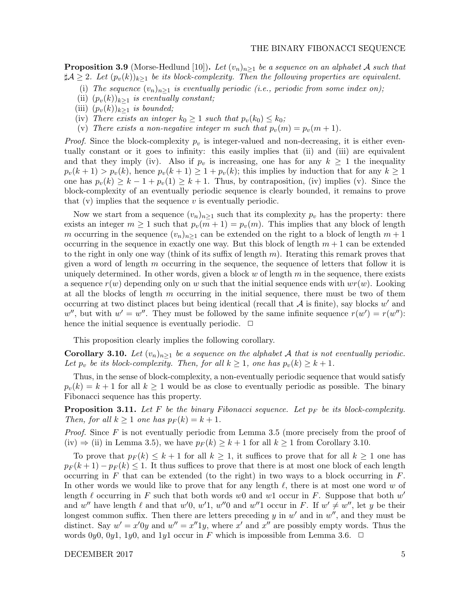**Proposition 3.9** (Morse-Hedlund [10]). Let  $(v_n)_{n\geq 1}$  be a sequence on an alphabet A such that  $\sharp \mathcal{A} \geq 2$ . Let  $(p_v(k))_{k\geq 1}$  be its block-complexity. Then the following properties are equivalent.

- (i) The sequence  $(v_n)_{n>1}$  is eventually periodic (i.e., periodic from some index on);
- (ii)  $(p_v(k))_{k>1}$  is eventually constant;
- (iii)  $(p_v(k))_{k\geq 1}$  is bounded;
- (iv) There exists an integer  $k_0 \geq 1$  such that  $p_v(k_0) \leq k_0$ ;
- (v) There exists a non-negative integer m such that  $p_v(m) = p_v(m + 1)$ .

*Proof.* Since the block-complexity  $p_v$  is integer-valued and non-decreasing, it is either eventually constant or it goes to infinity: this easily implies that (ii) and (iii) are equivalent and that they imply (iv). Also if  $p_v$  is increasing, one has for any  $k \geq 1$  the inequality  $p_v(k+1) > p_v(k)$ , hence  $p_v(k+1) \geq 1 + p_v(k)$ ; this implies by induction that for any  $k \geq 1$ one has  $p_v(k) \geq k - 1 + p_v(1) \geq k + 1$ . Thus, by contraposition, (iv) implies (v). Since the block-complexity of an eventually periodic sequence is clearly bounded, it remains to prove that  $(v)$  implies that the sequence  $v$  is eventually periodic.

Now we start from a sequence  $(v_n)_{n\geq 1}$  such that its complexity  $p_v$  has the property: there exists an integer  $m \geq 1$  such that  $p_v(m+1) = p_v(m)$ . This implies that any block of length m occurring in the sequence  $(v_n)_{n>1}$  can be extended on the right to a block of length  $m+1$ occurring in the sequence in exactly one way. But this block of length  $m + 1$  can be extended to the right in only one way (think of its suffix of length  $m$ ). Iterating this remark proves that given a word of length  $m$  occurring in the sequence, the sequence of letters that follow it is uniquely determined. In other words, given a block  $w$  of length  $m$  in the sequence, there exists a sequence  $r(w)$  depending only on w such that the initial sequence ends with  $wr(w)$ . Looking at all the blocks of length  $m$  occurring in the initial sequence, there must be two of them occurring at two distinct places but being identical (recall that  $A$  is finite), say blocks  $w'$  and w'', but with  $w' = w''$ . They must be followed by the same infinite sequence  $r(w') = r(w'')$ : hence the initial sequence is eventually periodic.  $\Box$ 

This proposition clearly implies the following corollary.

**Corollary 3.10.** Let  $(v_n)_{n>1}$  be a sequence on the alphabet A that is not eventually periodic. Let  $p_v$  be its block-complexity. Then, for all  $k \geq 1$ , one has  $p_v(k) \geq k+1$ .

Thus, in the sense of block-complexity, a non-eventually periodic sequence that would satisfy  $p_v(k) = k + 1$  for all  $k \geq 1$  would be as close to eventually periodic as possible. The binary Fibonacci sequence has this property.

**Proposition 3.11.** Let F be the binary Fibonacci sequence. Let  $p_F$  be its block-complexity. Then, for all  $k \geq 1$  one has  $p_F(k) = k + 1$ .

*Proof.* Since  $F$  is not eventually periodic from Lemma 3.5 (more precisely from the proof of  $(iv) \Rightarrow (ii)$  in Lemma 3.5), we have  $p_F(k) \geq k+1$  for all  $k \geq 1$  from Corollary 3.10.

To prove that  $p_F(k) \leq k+1$  for all  $k \geq 1$ , it suffices to prove that for all  $k \geq 1$  one has  $p_F(k+1) - p_F(k) \leq 1$ . It thus suffices to prove that there is at most one block of each length occurring in  $F$  that can be extended (to the right) in two ways to a block occurring in  $F$ . In other words we would like to prove that for any length  $\ell$ , there is at most one word w of length  $\ell$  occurring in F such that both words w0 and w1 occur in F. Suppose that both w' and w'' have length  $\ell$  and that w'0, w'1, w''0 and w''1 occur in F. If  $w' \neq w''$ , let y be their longest common suffix. Then there are letters preceding  $y$  in  $w'$  and in  $w''$ , and they must be distinct. Say  $w' = x'0y$  and  $w'' = x''1y$ , where x' and x'' are possibly empty words. Thus the words 0y0, 0y1, 1y0, and 1y1 occur in F which is impossible from Lemma 3.6.  $\Box$ 

DECEMBER 2017 5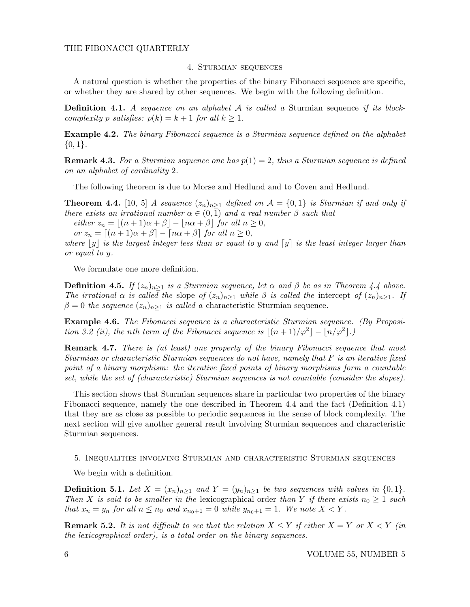# 4. Sturmian sequences

A natural question is whether the properties of the binary Fibonacci sequence are specific, or whether they are shared by other sequences. We begin with the following definition.

**Definition 4.1.** A sequence on an alphabet  $A$  is called a Sturmian sequence if its blockcomplexity p satisfies:  $p(k) = k + 1$  for all  $k \ge 1$ .

Example 4.2. The binary Fibonacci sequence is a Sturmian sequence defined on the alphabet  ${0,1}.$ 

**Remark 4.3.** For a Sturmian sequence one has  $p(1) = 2$ , thus a Sturmian sequence is defined on an alphabet of cardinality 2.

The following theorem is due to Morse and Hedlund and to Coven and Hedlund.

**Theorem 4.4.** [10, 5] A sequence  $(z_n)_{n\geq 1}$  defined on  $\mathcal{A} = \{0,1\}$  is Sturmian if and only if there exists an irrational number  $\alpha \in (0,1)$  and a real number  $\beta$  such that

either  $z_n = |(n + 1)\alpha + \beta| - |\alpha + \beta|$  for all  $n \ge 0$ ,

or  $z_n = [(n + 1)\alpha + \beta] - [n\alpha + \beta]$  for all  $n \ge 0$ ,

where  $|y|$  is the largest integer less than or equal to y and  $[y]$  is the least integer larger than or equal to y.

We formulate one more definition.

**Definition 4.5.** If  $(z_n)_{n>1}$  is a Sturmian sequence, let  $\alpha$  and  $\beta$  be as in Theorem 4.4 above. The irrational  $\alpha$  is called the slope of  $(z_n)_{n>1}$  while  $\beta$  is called the intercept of  $(z_n)_{n>1}$ . If  $\beta = 0$  the sequence  $(z_n)_{n>1}$  is called a characteristic Sturmian sequence.

Example 4.6. The Fibonacci sequence is a characteristic Sturmian sequence. (By Proposition 3.2 (ii), the nth term of the Fibonacci sequence is  $|(n+1)/\varphi^2| - |n/\varphi^2|$ .

**Remark 4.7.** There is (at least) one property of the binary Fibonacci sequence that most Sturmian or characteristic Sturmian sequences do not have, namely that F is an iterative fixed point of a binary morphism: the iterative fixed points of binary morphisms form a countable set, while the set of (characteristic) Sturmian sequences is not countable (consider the slopes).

This section shows that Sturmian sequences share in particular two properties of the binary Fibonacci sequence, namely the one described in Theorem 4.4 and the fact (Definition 4.1) that they are as close as possible to periodic sequences in the sense of block complexity. The next section will give another general result involving Sturmian sequences and characteristic Sturmian sequences.

5. Inequalities involving Sturmian and characteristic Sturmian sequences

We begin with a definition.

**Definition 5.1.** Let  $X = (x_n)_{n>1}$  and  $Y = (y_n)_{n>1}$  be two sequences with values in  $\{0,1\}$ . Then X is said to be smaller in the lexicographical order than Y if there exists  $n_0 \geq 1$  such that  $x_n = y_n$  for all  $n \le n_0$  and  $x_{n_0+1} = 0$  while  $y_{n_0+1} = 1$ . We note  $X \le Y$ .

**Remark 5.2.** It is not difficult to see that the relation  $X \leq Y$  if either  $X = Y$  or  $X \leq Y$  (in the lexicographical order), is a total order on the binary sequences.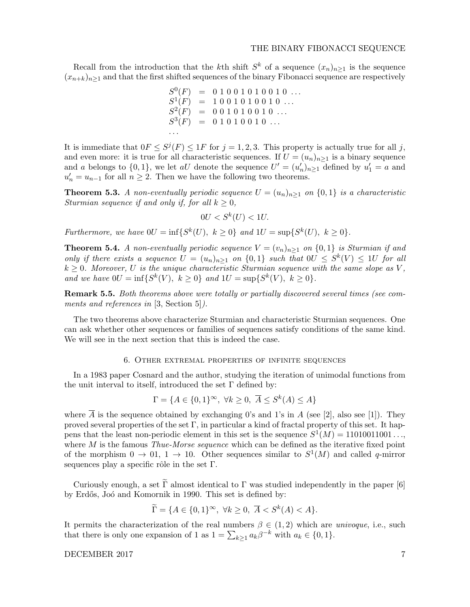## THE BINARY FIBONACCI SEQUENCE

Recall from the introduction that the k<sup>th</sup> shift  $S^k$  of a sequence  $(x_n)_{n\geq 1}$  is the sequence  $(x_{n+k})_{n\geq 1}$  and that the first shifted sequences of the binary Fibonacci sequence are respectively

$$
S^{0}(F) = 0 1 0 0 1 0 1 0 0 1 0 ...
$$
  
\n
$$
S^{1}(F) = 1 0 0 1 0 1 0 0 1 0 ...
$$
  
\n
$$
S^{2}(F) = 0 0 1 0 1 0 0 1 0 ...
$$
  
\n
$$
S^{3}(F) = 0 1 0 1 0 0 1 0 ...
$$
  
\n...

It is immediate that  $0F \leq S^{j}(F) \leq 1F$  for  $j = 1, 2, 3$ . This property is actually true for all j, and even more: it is true for all characteristic sequences. If  $U = (u_n)_{n \geq 1}$  is a binary sequence and a belongs to  $\{0,1\}$ , we let aU denote the sequence  $U' = (u'_n)_{n \geq 1}$  defined by  $u'_1 = a$  and  $u'_n = u_{n-1}$  for all  $n \geq 2$ . Then we have the following two theorems.

**Theorem 5.3.** A non-eventually periodic sequence  $U = (u_n)_{n \geq 1}$  on  $\{0, 1\}$  is a characteristic Sturmian sequence if and only if, for all  $k \geq 0$ ,

$$
0U < S^k(U) < 1U.
$$

Furthermore, we have  $0U = \inf\{S^k(U), k \ge 0\}$  and  $1U = \sup\{S^k(U), k \ge 0\}.$ 

**Theorem 5.4.** A non-eventually periodic sequence  $V = (v_n)_{n>1}$  on  $\{0,1\}$  is Sturmian if and only if there exists a sequence  $U = (u_n)_{n \geq 1}$  on  $\{0,1\}$  such that  $0U \leq S^k(V) \leq 1U$  for all  $k \geq 0$ . Moreover, U is the unique characteristic Sturmian sequence with the same slope as V, and we have  $0U = \inf \{ S^k(V), k \ge 0 \}$  and  $1U = \sup \{ S^k(V), k \ge 0 \}.$ 

Remark 5.5. Both theorems above were totally or partially discovered several times (see comments and references in [3, Section 5]).

The two theorems above characterize Sturmian and characteristic Sturmian sequences. One can ask whether other sequences or families of sequences satisfy conditions of the same kind. We will see in the next section that this is indeed the case.

### 6. Other extremal properties of infinite sequences

In a 1983 paper Cosnard and the author, studying the iteration of unimodal functions from the unit interval to itself, introduced the set  $\Gamma$  defined by:

$$
\Gamma = \{ A \in \{0, 1\}^{\infty}, \ \forall k \ge 0, \ \overline{A} \le S^k(A) \le A \}
$$

where  $\overline{A}$  is the sequence obtained by exchanging 0's and 1's in A (see [2], also see [1]). They proved several properties of the set  $\Gamma$ , in particular a kind of fractal property of this set. It happens that the least non-periodic element in this set is the sequence  $S^1(M) = 11010011001 \ldots$ , where  $M$  is the famous *Thue-Morse sequence* which can be defined as the iterative fixed point of the morphism  $0 \to 01, 1 \to 10$ . Other sequences similar to  $S^1(M)$  and called q-mirror sequences play a specific rôle in the set  $\Gamma$ .

Curiously enough, a set  $\Gamma$  almost identical to  $\Gamma$  was studied independently in the paper [6] by Erdős, Joó and Komornik in 1990. This set is defined by:

$$
\widetilde{\Gamma} = \{ A \in \{0, 1\}^{\infty}, \ \forall k \ge 0, \ \overline{A} < S^k(A) < A \}.
$$

It permits the characterization of the real numbers  $\beta \in (1,2)$  which are *univoque*, i.e., such that there is only one expansion of 1 as  $1 = \sum_{k \geq 1} a_k \beta^{-k}$  with  $a_k \in \{0, 1\}.$ 

DECEMBER 2017 7